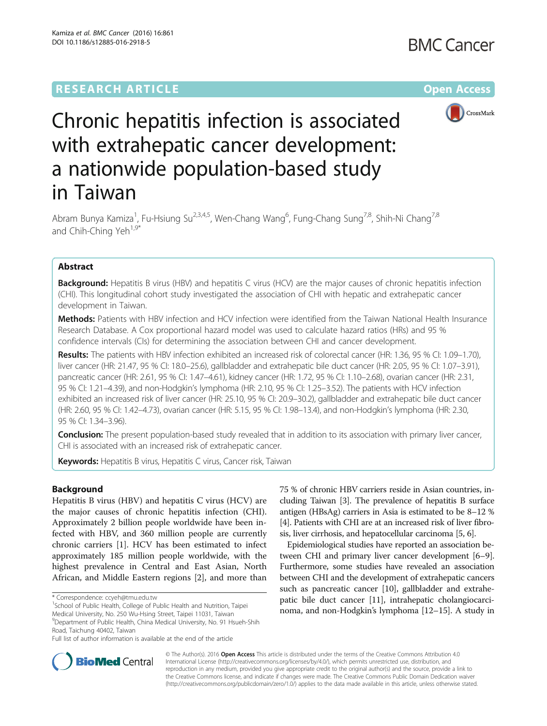## **RESEARCH ARTICLE External Structure Community Community Community Community Community Community Community Community**



# Chronic hepatitis infection is associated with extrahepatic cancer development: a nationwide population-based study in Taiwan

Abram Bunya Kamiza<sup>1</sup>, Fu-Hsiung Su<sup>2,3,4,5</sup>, Wen-Chang Wang<sup>6</sup>, Fung-Chang Sung<sup>7,8</sup>, Shih-Ni Chang<sup>7,8</sup> and Chih-Ching Yeh<sup>1,9\*</sup>

#### Abstract

**Background:** Hepatitis B virus (HBV) and hepatitis C virus (HCV) are the major causes of chronic hepatitis infection (CHI). This longitudinal cohort study investigated the association of CHI with hepatic and extrahepatic cancer development in Taiwan.

Methods: Patients with HBV infection and HCV infection were identified from the Taiwan National Health Insurance Research Database. A Cox proportional hazard model was used to calculate hazard ratios (HRs) and 95 % confidence intervals (CIs) for determining the association between CHI and cancer development.

Results: The patients with HBV infection exhibited an increased risk of colorectal cancer (HR: 1.36, 95 % CI: 1.09-1.70), liver cancer (HR: 21.47, 95 % CI: 18.0–25.6), gallbladder and extrahepatic bile duct cancer (HR: 2.05, 95 % CI: 1.07–3.91), pancreatic cancer (HR: 2.61, 95 % CI: 1.47–4.61), kidney cancer (HR: 1.72, 95 % CI: 1.10–2.68), ovarian cancer (HR: 2.31, 95 % CI: 1.21–4.39), and non-Hodgkin's lymphoma (HR: 2.10, 95 % CI: 1.25–3.52). The patients with HCV infection exhibited an increased risk of liver cancer (HR: 25.10, 95 % CI: 20.9–30.2), gallbladder and extrahepatic bile duct cancer (HR: 2.60, 95 % CI: 1.42–4.73), ovarian cancer (HR: 5.15, 95 % CI: 1.98–13.4), and non-Hodgkin's lymphoma (HR: 2.30, 95 % CI: 1.34–3.96).

Conclusion: The present population-based study revealed that in addition to its association with primary liver cancer, CHI is associated with an increased risk of extrahepatic cancer.

**Keywords:** Hepatitis B virus, Hepatitis C virus, Cancer risk, Taiwan

#### Background

Hepatitis B virus (HBV) and hepatitis C virus (HCV) are the major causes of chronic hepatitis infection (CHI). Approximately 2 billion people worldwide have been infected with HBV, and 360 million people are currently chronic carriers [[1\]](#page-7-0). HCV has been estimated to infect approximately 185 million people worldwide, with the highest prevalence in Central and East Asian, North African, and Middle Eastern regions [[2\]](#page-7-0), and more than

<sup>1</sup>School of Public Health, College of Public Health and Nutrition, Taipei

Road, Taichung 40402, Taiwan

75 % of chronic HBV carriers reside in Asian countries, including Taiwan [\[3\]](#page-7-0). The prevalence of hepatitis B surface antigen (HBsAg) carriers in Asia is estimated to be 8–12 % [[4](#page-7-0)]. Patients with CHI are at an increased risk of liver fibrosis, liver cirrhosis, and hepatocellular carcinoma [\[5](#page-7-0), [6](#page-8-0)].

Epidemiological studies have reported an association between CHI and primary liver cancer development [[6](#page-8-0)–[9](#page-8-0)]. Furthermore, some studies have revealed an association between CHI and the development of extrahepatic cancers such as pancreatic cancer [\[10\]](#page-8-0), gallbladder and extrahepatic bile duct cancer [\[11\]](#page-8-0), intrahepatic cholangiocarcinoma, and non-Hodgkin's lymphoma [\[12](#page-8-0)–[15](#page-8-0)]. A study in



© The Author(s). 2016 Open Access This article is distributed under the terms of the Creative Commons Attribution 4.0 International License [\(http://creativecommons.org/licenses/by/4.0/](http://creativecommons.org/licenses/by/4.0/)), which permits unrestricted use, distribution, and reproduction in any medium, provided you give appropriate credit to the original author(s) and the source, provide a link to the Creative Commons license, and indicate if changes were made. The Creative Commons Public Domain Dedication waiver [\(http://creativecommons.org/publicdomain/zero/1.0/](http://creativecommons.org/publicdomain/zero/1.0/)) applies to the data made available in this article, unless otherwise stated.

<sup>\*</sup> Correspondence: [ccyeh@tmu.edu.tw](mailto:ccyeh@tmu.edu.tw) <sup>1</sup>

Medical University, No. 250 Wu-Hsing Street, Taipei 11031, Taiwan <sup>9</sup>Department of Public Health, China Medical University, No. 91 Hsueh-Shih

Full list of author information is available at the end of the article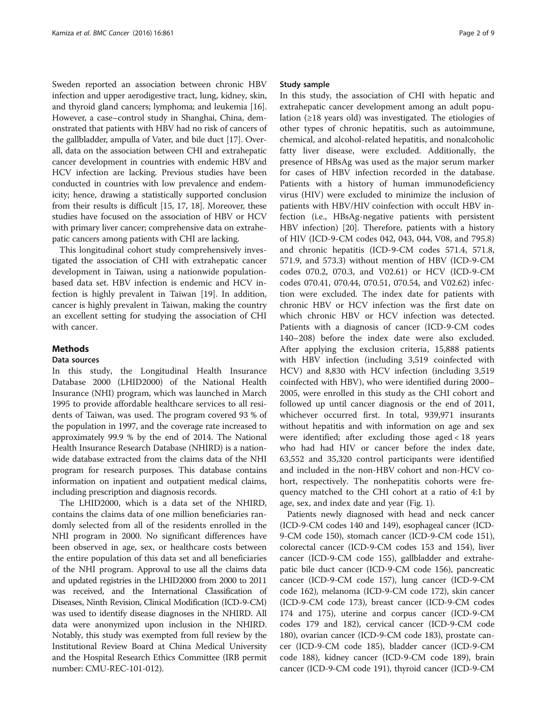Sweden reported an association between chronic HBV infection and upper aerodigestive tract, lung, kidney, skin, and thyroid gland cancers; lymphoma; and leukemia [[16](#page-8-0)]. However, a case–control study in Shanghai, China, demonstrated that patients with HBV had no risk of cancers of the gallbladder, ampulla of Vater, and bile duct [[17](#page-8-0)]. Overall, data on the association between CHI and extrahepatic cancer development in countries with endemic HBV and HCV infection are lacking. Previous studies have been conducted in countries with low prevalence and endemicity; hence, drawing a statistically supported conclusion from their results is difficult [[15](#page-8-0), [17](#page-8-0), [18](#page-8-0)]. Moreover, these studies have focused on the association of HBV or HCV with primary liver cancer; comprehensive data on extrahepatic cancers among patients with CHI are lacking.

This longitudinal cohort study comprehensively investigated the association of CHI with extrahepatic cancer development in Taiwan, using a nationwide populationbased data set. HBV infection is endemic and HCV infection is highly prevalent in Taiwan [[19\]](#page-8-0). In addition, cancer is highly prevalent in Taiwan, making the country an excellent setting for studying the association of CHI with cancer.

#### Methods

#### Data sources

In this study, the Longitudinal Health Insurance Database 2000 (LHID2000) of the National Health Insurance (NHI) program, which was launched in March 1995 to provide affordable healthcare services to all residents of Taiwan, was used. The program covered 93 % of the population in 1997, and the coverage rate increased to approximately 99.9 % by the end of 2014. The National Health Insurance Research Database (NHIRD) is a nationwide database extracted from the claims data of the NHI program for research purposes. This database contains information on inpatient and outpatient medical claims, including prescription and diagnosis records.

The LHID2000, which is a data set of the NHIRD, contains the claims data of one million beneficiaries randomly selected from all of the residents enrolled in the NHI program in 2000. No significant differences have been observed in age, sex, or healthcare costs between the entire population of this data set and all beneficiaries of the NHI program. Approval to use all the claims data and updated registries in the LHID2000 from 2000 to 2011 was received, and the International Classification of Diseases, Ninth Revision, Clinical Modification (ICD-9-CM) was used to identify disease diagnoses in the NHIRD. All data were anonymized upon inclusion in the NHIRD. Notably, this study was exempted from full review by the Institutional Review Board at China Medical University and the Hospital Research Ethics Committee (IRB permit number: CMU-REC-101-012).

#### Study sample

In this study, the association of CHI with hepatic and extrahepatic cancer development among an adult population (≥18 years old) was investigated. The etiologies of other types of chronic hepatitis, such as autoimmune, chemical, and alcohol-related hepatitis, and nonalcoholic fatty liver disease, were excluded. Additionally, the presence of HBsAg was used as the major serum marker for cases of HBV infection recorded in the database. Patients with a history of human immunodeficiency virus (HIV) were excluded to minimize the inclusion of patients with HBV/HIV coinfection with occult HBV infection (i.e., HBsAg-negative patients with persistent HBV infection) [\[20\]](#page-8-0). Therefore, patients with a history of HIV (ICD-9-CM codes 042, 043, 044, V08, and 795.8) and chronic hepatitis (ICD-9-CM codes 571.4, 571.8, 571.9, and 573.3) without mention of HBV (ICD-9-CM codes 070.2, 070.3, and V02.61) or HCV (ICD-9-CM codes 070.41, 070.44, 070.51, 070.54, and V02.62) infection were excluded. The index date for patients with chronic HBV or HCV infection was the first date on which chronic HBV or HCV infection was detected. Patients with a diagnosis of cancer (ICD-9-CM codes 140–208) before the index date were also excluded. After applying the exclusion criteria, 15,888 patients with HBV infection (including 3,519 coinfected with HCV) and 8,830 with HCV infection (including 3,519 coinfected with HBV), who were identified during 2000– 2005, were enrolled in this study as the CHI cohort and followed up until cancer diagnosis or the end of 2011, whichever occurred first. In total, 939,971 insurants without hepatitis and with information on age and sex were identified; after excluding those aged < 18 years who had had HIV or cancer before the index date, 63,552 and 35,320 control participants were identified and included in the non-HBV cohort and non-HCV cohort, respectively. The nonhepatitis cohorts were frequency matched to the CHI cohort at a ratio of 4:1 by age, sex, and index date and year (Fig. [1](#page-2-0)).

Patients newly diagnosed with head and neck cancer (ICD-9-CM codes 140 and 149), esophageal cancer (ICD-9-CM code 150), stomach cancer (ICD-9-CM code 151), colorectal cancer (ICD-9-CM codes 153 and 154), liver cancer (ICD-9-CM code 155), gallbladder and extrahepatic bile duct cancer (ICD-9-CM code 156), pancreatic cancer (ICD-9-CM code 157), lung cancer (ICD-9-CM code 162), melanoma (ICD-9-CM code 172), skin cancer (ICD-9-CM code 173), breast cancer (ICD-9-CM codes 174 and 175), uterine and corpus cancer (ICD-9-CM codes 179 and 182), cervical cancer (ICD-9-CM code 180), ovarian cancer (ICD-9-CM code 183), prostate cancer (ICD-9-CM code 185), bladder cancer (ICD-9-CM code 188), kidney cancer (ICD-9-CM code 189), brain cancer (ICD-9-CM code 191), thyroid cancer (ICD-9-CM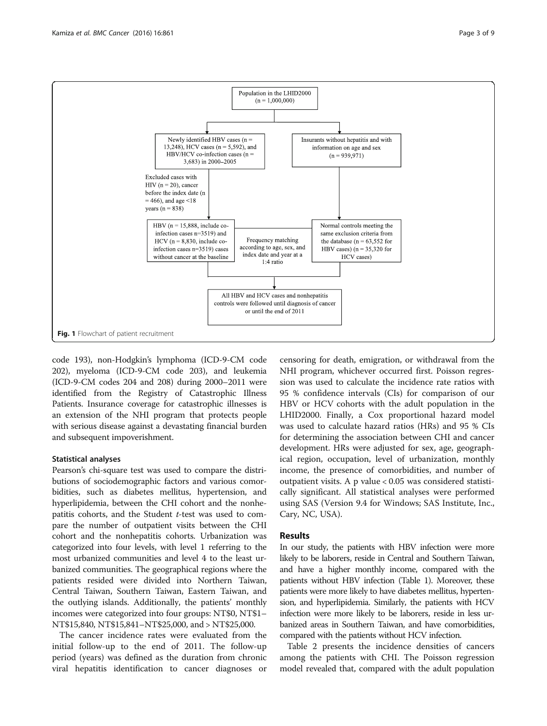<span id="page-2-0"></span>

code 193), non-Hodgkin's lymphoma (ICD-9-CM code 202), myeloma (ICD-9-CM code 203), and leukemia (ICD-9-CM codes 204 and 208) during 2000–2011 were identified from the Registry of Catastrophic Illness Patients. Insurance coverage for catastrophic illnesses is an extension of the NHI program that protects people with serious disease against a devastating financial burden and subsequent impoverishment.

#### Statistical analyses

Pearson's chi-square test was used to compare the distributions of sociodemographic factors and various comorbidities, such as diabetes mellitus, hypertension, and hyperlipidemia, between the CHI cohort and the nonhepatitis cohorts, and the Student  $t$ -test was used to compare the number of outpatient visits between the CHI cohort and the nonhepatitis cohorts. Urbanization was categorized into four levels, with level 1 referring to the most urbanized communities and level 4 to the least urbanized communities. The geographical regions where the patients resided were divided into Northern Taiwan, Central Taiwan, Southern Taiwan, Eastern Taiwan, and the outlying islands. Additionally, the patients' monthly incomes were categorized into four groups: NT\$0, NT\$1– NT\$15,840, NT\$15,841–NT\$25,000, and > NT\$25,000.

The cancer incidence rates were evaluated from the initial follow-up to the end of 2011. The follow-up period (years) was defined as the duration from chronic viral hepatitis identification to cancer diagnoses or

censoring for death, emigration, or withdrawal from the NHI program, whichever occurred first. Poisson regression was used to calculate the incidence rate ratios with 95 % confidence intervals (CIs) for comparison of our HBV or HCV cohorts with the adult population in the LHID2000. Finally, a Cox proportional hazard model was used to calculate hazard ratios (HRs) and 95 % CIs for determining the association between CHI and cancer development. HRs were adjusted for sex, age, geographical region, occupation, level of urbanization, monthly income, the presence of comorbidities, and number of outpatient visits. A p value < 0.05 was considered statistically significant. All statistical analyses were performed using SAS (Version 9.4 for Windows; SAS Institute, Inc., Cary, NC, USA).

#### Results

In our study, the patients with HBV infection were more likely to be laborers, reside in Central and Southern Taiwan, and have a higher monthly income, compared with the patients without HBV infection (Table [1\)](#page-3-0). Moreover, these patients were more likely to have diabetes mellitus, hypertension, and hyperlipidemia. Similarly, the patients with HCV infection were more likely to be laborers, reside in less urbanized areas in Southern Taiwan, and have comorbidities, compared with the patients without HCV infection.

Table [2](#page-4-0) presents the incidence densities of cancers among the patients with CHI. The Poisson regression model revealed that, compared with the adult population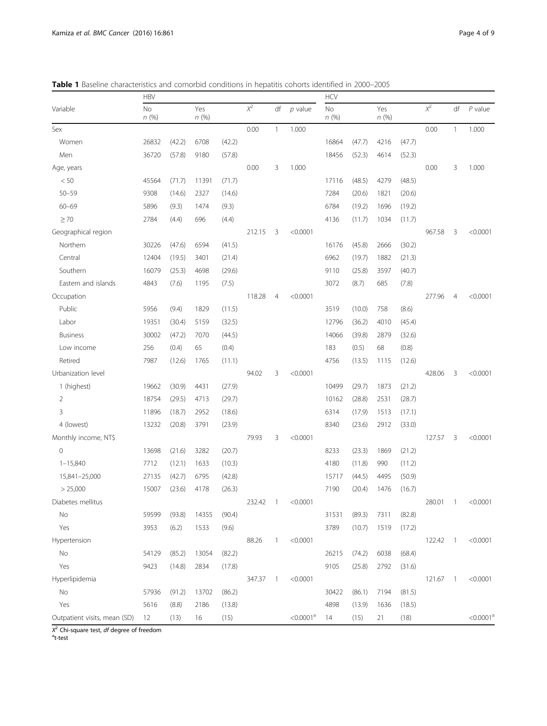|                              | <b>HBV</b>        |        |             |        |          |                          |                         | <b>HCV</b> |        |             |        |          |                          |                       |
|------------------------------|-------------------|--------|-------------|--------|----------|--------------------------|-------------------------|------------|--------|-------------|--------|----------|--------------------------|-----------------------|
| Variable                     | <b>No</b><br>n(%) |        | Yes<br>n(%) |        | $\chi^2$ | df                       | $p$ value               | No<br>n(%) |        | Yes<br>n(%) |        | $\chi^2$ | df                       | $P$ value             |
| Sex                          |                   |        |             |        | 0.00     | $\mathbf{1}$             | 1.000                   |            |        |             |        | 0.00     | $\mathbf{1}$             | 1.000                 |
| Women                        | 26832             | (42.2) | 6708        | (42.2) |          |                          |                         | 16864      | (47.7) | 4216        | (47.7) |          |                          |                       |
| Men                          | 36720             | (57.8) | 9180        | (57.8) |          |                          |                         | 18456      | (52.3) | 4614        | (52.3) |          |                          |                       |
| Age, years                   |                   |        |             |        | 0.00     | 3                        | 1.000                   |            |        |             |        | 0.00     | 3                        | 1.000                 |
| < 50                         | 45564             | (71.7) | 11391       | (71.7) |          |                          |                         | 17116      | (48.5) | 4279        | (48.5) |          |                          |                       |
| $50 - 59$                    | 9308              | (14.6) | 2327        | (14.6) |          |                          |                         | 7284       | (20.6) | 1821        | (20.6) |          |                          |                       |
| $60 - 69$                    | 5896              | (9.3)  | 1474        | (9.3)  |          |                          |                         | 6784       | (19.2) | 1696        | (19.2) |          |                          |                       |
| $\geq 70$                    | 2784              | (4.4)  | 696         | (4.4)  |          |                          |                         | 4136       | (11.7) | 1034        | (11.7) |          |                          |                       |
| Geographical region          |                   |        |             |        | 212.15   | 3                        | < 0.0001                |            |        |             |        | 967.58   | 3                        | < 0.0001              |
| Northern                     | 30226             | (47.6) | 6594        | (41.5) |          |                          |                         | 16176      | (45.8) | 2666        | (30.2) |          |                          |                       |
| Central                      | 12404             | (19.5) | 3401        | (21.4) |          |                          |                         | 6962       | (19.7) | 1882        | (21.3) |          |                          |                       |
| Southern                     | 16079             | (25.3) | 4698        | (29.6) |          |                          |                         | 9110       | (25.8) | 3597        | (40.7) |          |                          |                       |
| Eastern and islands          | 4843              | (7.6)  | 1195        | (7.5)  |          |                          |                         | 3072       | (8.7)  | 685         | (7.8)  |          |                          |                       |
| Occupation                   |                   |        |             |        | 118.28   | $\overline{4}$           | < 0.0001                |            |        |             |        | 277.96   | $\overline{4}$           | < 0.0001              |
| Public                       | 5956              | (9.4)  | 1829        | (11.5) |          |                          |                         | 3519       | (10.0) | 758         | (8.6)  |          |                          |                       |
| Labor                        | 19351             | (30.4) | 5159        | (32.5) |          |                          |                         | 12796      | (36.2) | 4010        | (45.4) |          |                          |                       |
| <b>Business</b>              | 30002             | (47.2) | 7070        | (44.5) |          |                          |                         | 14066      | (39.8) | 2879        | (32.6) |          |                          |                       |
| Low income                   | 256               | (0.4)  | 65          | (0.4)  |          |                          |                         | 183        | (0.5)  | 68          | (0.8)  |          |                          |                       |
| Retired                      | 7987              | (12.6) | 1765        | (11.1) |          |                          |                         | 4756       | (13.5) | 1115        | (12.6) |          |                          |                       |
| Urbanization level           |                   |        |             |        | 94.02    | 3                        | < 0.0001                |            |        |             |        | 428.06   | 3                        | < 0.0001              |
| 1 (highest)                  | 19662             | (30.9) | 4431        | (27.9) |          |                          |                         | 10499      | (29.7) | 1873        | (21.2) |          |                          |                       |
| $\overline{2}$               | 18754             | (29.5) | 4713        | (29.7) |          |                          |                         | 10162      | (28.8) | 2531        | (28.7) |          |                          |                       |
| 3                            | 11896             | (18.7) | 2952        | (18.6) |          |                          |                         | 6314       | (17.9) | 1513        | (17.1) |          |                          |                       |
| 4 (lowest)                   | 13232             | (20.8) | 3791        | (23.9) |          |                          |                         | 8340       | (23.6) | 2912        | (33.0) |          |                          |                       |
| Monthly income, NT\$         |                   |        |             |        | 79.93    | 3                        | < 0.0001                |            |        |             |        | 127.57   | 3                        | < 0.0001              |
| $\circ$                      | 13698             | (21.6) | 3282        | (20.7) |          |                          |                         | 8233       | (23.3) | 1869        | (21.2) |          |                          |                       |
| $1 - 15,840$                 | 7712              | (12.1) | 1633        | (10.3) |          |                          |                         | 4180       | (11.8) | 990         | (11.2) |          |                          |                       |
| 15,841-25,000                | 27135             | (42.7) | 6795        | (42.8) |          |                          |                         | 15717      | (44.5) | 4495        | (50.9) |          |                          |                       |
| > 25,000                     | 15007             | (23.6) | 4178        | (26.3) |          |                          |                         | 7190       | (20.4) | 1476        | (16.7) |          |                          |                       |
| Diabetes mellitus            |                   |        |             |        | 232.42   |                          | < 0.0001                |            |        |             |        | 280.01   |                          | < 0.0001              |
| No                           | 59599             | (93.8) | 14355       | (90.4) |          |                          |                         | 31531      | (89.3) | 7311        | (82.8) |          |                          |                       |
| Yes                          | 3953              | (6.2)  | 1533        | (9.6)  |          |                          |                         | 3789       | (10.7) | 1519        | (17.2) |          |                          |                       |
| Hypertension                 |                   |        |             |        | 88.26    | $\mathbf{1}$             | < 0.0001                |            |        |             |        | 122.42 1 |                          | < 0.0001              |
| No                           | 54129             | (85.2) | 13054       | (82.2) |          |                          |                         | 26215      | (74.2) | 6038        | (68.4) |          |                          |                       |
| Yes                          | 9423              | (14.8) | 2834        | (17.8) |          |                          |                         | 9105       | (25.8) | 2792        | (31.6) |          |                          |                       |
| Hyperlipidemia               |                   |        |             |        | 347.37   | $\overline{\phantom{0}}$ | < 0.0001                |            |        |             |        | 121.67   | $\overline{\phantom{0}}$ | < 0.0001              |
| No                           | 57936             | (91.2) | 13702       | (86.2) |          |                          |                         | 30422      | (86.1) | 7194        | (81.5) |          |                          |                       |
| Yes                          | 5616              | (8.8)  | 2186        | (13.8) |          |                          |                         | 4898       | (13.9) | 1636        | (18.5) |          |                          |                       |
| Outpatient visits, mean (SD) | 12                | (13)   | 16          | (15)   |          |                          | $<$ 0.0001 <sup>a</sup> | 14         | (15)   | 21          | (18)   |          |                          | < 0.0001 <sup>a</sup> |

<span id="page-3-0"></span>Table 1 Baseline characteristics and comorbid conditions in hepatitis cohorts identified in 2000-2005

 $X^2$  Chi-square test, *df* degree of freedom<br><sup>a</sup>t-test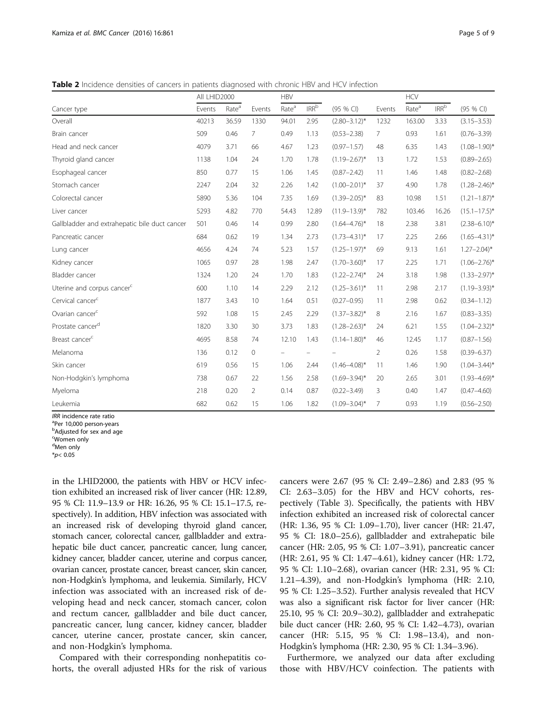<span id="page-4-0"></span>Table 2 Incidence densities of cancers in patients diagnosed with chronic HBV and HCV infection

|                                               | All LHID2000 |                   |                | <b>HBV</b>        |                   |                   | <b>HCV</b>     |                   |                  |                            |
|-----------------------------------------------|--------------|-------------------|----------------|-------------------|-------------------|-------------------|----------------|-------------------|------------------|----------------------------|
| Cancer type                                   | Events       | Rate <sup>a</sup> | Events         | Rate <sup>a</sup> | $IRR^b$           | (95 % CI)         | Events         | Rate <sup>a</sup> | IRR <sup>b</sup> | (95 % CI)                  |
| Overall                                       | 40213        | 36.59             | 1330           | 94.01             | 2.95              | $(2.80 - 3.12)^*$ | 1232           | 163.00            | 3.33             | $(3.15 - 3.53)$            |
| Brain cancer                                  | 509          | 0.46              | 7              | 0.49              | 1.13              | $(0.53 - 2.38)$   | 7              | 0.93              | 1.61             | $(0.76 - 3.39)$            |
| Head and neck cancer                          | 4079         | 3.71              | 66             | 4.67              | 1.23              | $(0.97 - 1.57)$   | 48             | 6.35              | 1.43             | $(1.08 - 1.90)^*$          |
| Thyroid gland cancer                          | 1138         | 1.04              | 24             | 1.70              | 1.78              | $(1.19 - 2.67)^*$ | 13             | 1.72              | 1.53             | $(0.89 - 2.65)$            |
| Esophageal cancer                             | 850          | 0.77              | 15             | 1.06              | 1.45              | $(0.87 - 2.42)$   | 11             | 1.46              | 1.48             | $(0.82 - 2.68)$            |
| Stomach cancer                                | 2247         | 2.04              | 32             | 2.26              | 1.42              | $(1.00 - 2.01)^*$ | 37             | 4.90              | 1.78             | $(1.28 - 2.46)^*$          |
| Colorectal cancer                             | 5890         | 5.36              | 104            | 7.35              | 1.69              | $(1.39 - 2.05)^*$ | 83             | 10.98             | 1.51             | $(1.21 - 1.87)^*$          |
| Liver cancer                                  | 5293         | 4.82              | 770            | 54.43             | 12.89             | $(11.9 - 13.9)^*$ | 782            | 103.46            | 16.26            | $(15.1 - 17.5)^*$          |
| Gallbladder and extrahepatic bile duct cancer | 501          | 0.46              | 14             | 0.99              | 2.80              | $(1.64 - 4.76)^*$ | 18             | 2.38              | 3.81             | $(2.38 - 6.10)^*$          |
| Pancreatic cancer                             | 684          | 0.62              | 19             | 1.34              | 2.73              | $(1.73 - 4.31)^*$ | 17             | 2.25              | 2.66             | $(1.65 - 4.31)^*$          |
| Lung cancer                                   | 4656         | 4.24              | 74             | 5.23              | 1.57              | $(1.25 - 1.97)^*$ | 69             | 9.13              | 1.61             | $1.27 - 2.04$ <sup>*</sup> |
| Kidney cancer                                 | 1065         | 0.97              | 28             | 1.98              | 2.47              | $(1.70 - 3.60)^*$ | 17             | 2.25              | 1.71             | $(1.06 - 2.76)^*$          |
| Bladder cancer                                | 1324         | 1.20              | 24             | 1.70              | 1.83              | $(1.22 - 2.74)^*$ | 24             | 3.18              | 1.98             | $(1.33 - 2.97)^*$          |
| Uterine and corpus cancer <sup>c</sup>        | 600          | 1.10              | 14             | 2.29              | 2.12              | $(1.25 - 3.61)^*$ | 11             | 2.98              | 2.17             | $(1.19 - 3.93)^*$          |
| Cervical cancer <sup>c</sup>                  | 1877         | 3.43              | 10             | 1.64              | 0.51              | $(0.27 - 0.95)$   | 11             | 2.98              | 0.62             | $(0.34 - 1.12)$            |
| Ovarian cancer <sup>c</sup>                   | 592          | 1.08              | 15             | 2.45              | 2.29              | $(1.37 - 3.82)^*$ | 8              | 2.16              | 1.67             | $(0.83 - 3.35)$            |
| Prostate cancer <sup>d</sup>                  | 1820         | 3.30              | 30             | 3.73              | 1.83              | $(1.28 - 2.63)^*$ | 24             | 6.21              | 1.55             | $(1.04 - 2.32)^*$          |
| Breast cancer <sup>c</sup>                    | 4695         | 8.58              | 74             | 12.10             | 1.43              | $(1.14 - 1.80)^*$ | 46             | 12.45             | 1.17             | $(0.87 - 1.56)$            |
| Melanoma                                      | 136          | 0.12              | 0              |                   | $\qquad \qquad -$ |                   | $\overline{2}$ | 0.26              | 1.58             | $(0.39 - 6.37)$            |
| Skin cancer                                   | 619          | 0.56              | 15             | 1.06              | 2.44              | $(1.46 - 4.08)^*$ | 11             | 1.46              | 1.90             | $(1.04 - 3.44)^*$          |
| Non-Hodgkin's lymphoma                        | 738          | 0.67              | 22             | 1.56              | 2.58              | $(1.69 - 3.94)^*$ | 20             | 2.65              | 3.01             | $(1.93 - 4.69)^*$          |
| Myeloma                                       | 218          | 0.20              | $\overline{2}$ | 0.14              | 0.87              | $(0.22 - 3.49)$   | 3              | 0.40              | 1.47             | $(0.47 - 4.60)$            |
| Leukemia                                      | 682          | 0.62              | 15             | 1.06              | 1.82              | $(1.09 - 3.04)^*$ | 7              | 0.93              | 1.19             | $(0.56 - 2.50)$            |

IRR incidence rate ratio

<sup>a</sup>Per 10,000 person-years

**b**Adjusted for sex and age

in the LHID2000, the patients with HBV or HCV infection exhibited an increased risk of liver cancer (HR: 12.89, 95 % CI: 11.9–13.9 or HR: 16.26, 95 % CI: 15.1–17.5, respectively). In addition, HBV infection was associated with an increased risk of developing thyroid gland cancer, stomach cancer, colorectal cancer, gallbladder and extrahepatic bile duct cancer, pancreatic cancer, lung cancer, kidney cancer, bladder cancer, uterine and corpus cancer, ovarian cancer, prostate cancer, breast cancer, skin cancer, non-Hodgkin's lymphoma, and leukemia. Similarly, HCV infection was associated with an increased risk of developing head and neck cancer, stomach cancer, colon and rectum cancer, gallbladder and bile duct cancer, pancreatic cancer, lung cancer, kidney cancer, bladder cancer, uterine cancer, prostate cancer, skin cancer, and non-Hodgkin's lymphoma.

Compared with their corresponding nonhepatitis cohorts, the overall adjusted HRs for the risk of various

cancers were 2.67 (95 % CI: 2.49–2.86) and 2.83 (95 % CI: 2.63–3.05) for the HBV and HCV cohorts, respectively (Table [3\)](#page-5-0). Specifically, the patients with HBV infection exhibited an increased risk of colorectal cancer (HR: 1.36, 95 % CI: 1.09–1.70), liver cancer (HR: 21.47, 95 % CI: 18.0–25.6), gallbladder and extrahepatic bile cancer (HR: 2.05, 95 % CI: 1.07–3.91), pancreatic cancer (HR: 2.61, 95 % CI: 1.47–4.61), kidney cancer (HR: 1.72, 95 % CI: 1.10–2.68), ovarian cancer (HR: 2.31, 95 % CI: 1.21–4.39), and non-Hodgkin's lymphoma (HR: 2.10, 95 % CI: 1.25–3.52). Further analysis revealed that HCV was also a significant risk factor for liver cancer (HR: 25.10, 95 % CI: 20.9–30.2), gallbladder and extrahepatic bile duct cancer (HR: 2.60, 95 % CI: 1.42–4.73), ovarian cancer (HR: 5.15, 95 % CI: 1.98–13.4), and non-Hodgkin's lymphoma (HR: 2.30, 95 % CI: 1.34–3.96).

Furthermore, we analyzed our data after excluding those with HBV/HCV coinfection. The patients with

c Women only <sup>d</sup>Men only

 $*_{p<} 0.05$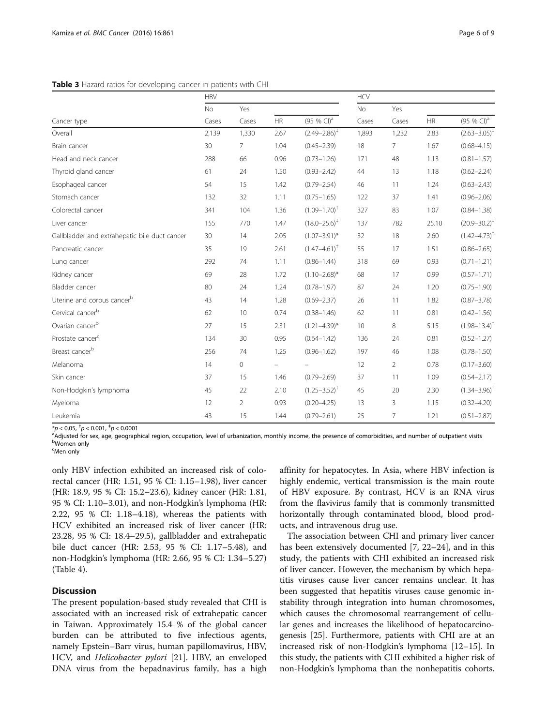#### <span id="page-5-0"></span>Table 3 Hazard ratios for developing cancer in patients with CHI

|                                               | <b>HBV</b> |                |                          |                            | <b>HCV</b> |                |           |                           |  |
|-----------------------------------------------|------------|----------------|--------------------------|----------------------------|------------|----------------|-----------|---------------------------|--|
|                                               | No         | Yes            |                          |                            |            | Yes            |           |                           |  |
| Cancer type                                   | Cases      | Cases          | HR                       | $(95 % Cl)^{a}$            | Cases      | Cases          | <b>HR</b> | (95 % CI) <sup>a</sup>    |  |
| Overall                                       | 2,139      | 1,330          | 2.67                     | $(2.49 - 2.86)^{+}$        | 1,893      | 1,232          | 2.83      | $(2.63 - 3.05)^{+}$       |  |
| Brain cancer                                  | 30         | 7              | 1.04                     | $(0.45 - 2.39)$            | 18         | 7              | 1.67      | $(0.68 - 4.15)$           |  |
| Head and neck cancer                          | 288        | 66             | 0.96                     | $(0.73 - 1.26)$            | 171        | 48             | 1.13      | $(0.81 - 1.57)$           |  |
| Thyroid gland cancer                          | 61         | 24             | 1.50                     | $(0.93 - 2.42)$            | 44         | 13             | 1.18      | $(0.62 - 2.24)$           |  |
| Esophageal cancer                             | 54         | 15             | 1.42                     | $(0.79 - 2.54)$            | 46         | 11             | 1.24      | $(0.63 - 2.43)$           |  |
| Stomach cancer                                | 132        | 32             | 1.11                     | $(0.75 - 1.65)$            | 122        | 37             | 1.41      | $(0.96 - 2.06)$           |  |
| Colorectal cancer                             | 341        | 104            | 1.36                     | $(1.09 - 1.70)^{+}$        | 327        | 83             | 1.07      | $(0.84 - 1.38)$           |  |
| Liver cancer                                  | 155        | 770            | 1.47                     | $(18.0 - 25.6)^{\ddagger}$ | 137        | 782            | 25.10     | $(20.9 - 30.2)^{+}$       |  |
| Gallbladder and extrahepatic bile duct cancer | 30         | 14             | 2.05                     | $(1.07 - 3.91)^*$          | 32         | 18             | 2.60      | $(1.42 - 4.73)^{T}$       |  |
| Pancreatic cancer                             | 35         | 19             | 2.61                     | $(1.47 - 4.61)^{\dagger}$  | 55         | 17             | 1.51      | $(0.86 - 2.65)$           |  |
| Lung cancer                                   | 292        | 74             | 1.11                     | $(0.86 - 1.44)$            | 318        | 69             | 0.93      | $(0.71 - 1.21)$           |  |
| Kidney cancer                                 | 69         | 28             | 1.72                     | $(1.10 - 2.68)^*$          | 68         | 17             | 0.99      | $(0.57 - 1.71)$           |  |
| Bladder cancer                                | 80         | 24             | 1.24                     | $(0.78 - 1.97)$            | 87         | 24             | 1.20      | $(0.75 - 1.90)$           |  |
| Uterine and corpus cancer <sup>b</sup>        | 43         | 14             | 1.28                     | $(0.69 - 2.37)$            | 26         | 11             | 1.82      | $(0.87 - 3.78)$           |  |
| Cervical cancer <sup>b</sup>                  | 62         | 10             | 0.74                     | $(0.38 - 1.46)$            | 62         | 11             | 0.81      | $(0.42 - 1.56)$           |  |
| Ovarian cancer <sup>b</sup>                   | 27         | 15             | 2.31                     | $(1.21 - 4.39)^*$          | 10         | 8              | 5.15      | $(1.98 - 13.4)^{\dagger}$ |  |
| Prostate cancer <sup>c</sup>                  | 134        | 30             | 0.95                     | $(0.64 - 1.42)$            | 136        | 24             | 0.81      | $(0.52 - 1.27)$           |  |
| Breast cancer <sup>b</sup>                    | 256        | 74             | 1.25                     | $(0.96 - 1.62)$            | 197        | 46             | 1.08      | $(0.78 - 1.50)$           |  |
| Melanoma                                      | 14         | $\circ$        | $\overline{\phantom{0}}$ |                            | 12         | $\overline{2}$ | 0.78      | $(0.17 - 3.60)$           |  |
| Skin cancer                                   | 37         | 15             | 1.46                     | $(0.79 - 2.69)$            | 37         | 11             | 1.09      | $(0.54 - 2.17)$           |  |
| Non-Hodgkin's lymphoma                        | 45         | 22             | 2.10                     | $(1.25 - 3.52)^{T}$        | 45         | 20             | 2.30      | $(1.34 - 3.96)^{\dagger}$ |  |
| Myeloma                                       | 12         | $\overline{2}$ | 0.93                     | $(0.20 - 4.25)$            | 13         | 3              | 1.15      | $(0.32 - 4.20)$           |  |
| Leukemia                                      | 43         | 15             | 1.44                     | $(0.79 - 2.61)$            | 25         | 7              | 1.21      | $(0.51 - 2.87)$           |  |

\*p < 0.05,  $^{\dagger}p$  < 0.001,  $^{\dagger}p$  < 0.0001

<sup>a</sup>Adjusted for sex, age, geographical region, occupation, level of urbanization, monthly income, the presence of comorbidities, and number of outpatient visits Women only

<sup>c</sup>Men only

only HBV infection exhibited an increased risk of colorectal cancer (HR: 1.51, 95 % CI: 1.15–1.98), liver cancer (HR: 18.9, 95 % CI: 15.2–23.6), kidney cancer (HR: 1.81, 95 % CI: 1.10–3.01), and non-Hodgkin's lymphoma (HR: 2.22, 95 % CI: 1.18–4.18), whereas the patients with HCV exhibited an increased risk of liver cancer (HR: 23.28, 95 % CI: 18.4–29.5), gallbladder and extrahepatic bile duct cancer (HR: 2.53, 95 % CI: 1.17–5.48), and non-Hodgkin's lymphoma (HR: 2.66, 95 % CI: 1.34–5.27) (Table [4\)](#page-6-0).

#### **Discussion**

The present population-based study revealed that CHI is associated with an increased risk of extrahepatic cancer in Taiwan. Approximately 15.4 % of the global cancer burden can be attributed to five infectious agents, namely Epstein–Barr virus, human papillomavirus, HBV, HCV, and Helicobacter pylori [\[21](#page-8-0)]. HBV, an enveloped DNA virus from the hepadnavirus family, has a high affinity for hepatocytes. In Asia, where HBV infection is highly endemic, vertical transmission is the main route of HBV exposure. By contrast, HCV is an RNA virus from the flavivirus family that is commonly transmitted horizontally through contaminated blood, blood products, and intravenous drug use.

The association between CHI and primary liver cancer has been extensively documented [\[7](#page-8-0), [22](#page-8-0)–[24](#page-8-0)], and in this study, the patients with CHI exhibited an increased risk of liver cancer. However, the mechanism by which hepatitis viruses cause liver cancer remains unclear. It has been suggested that hepatitis viruses cause genomic instability through integration into human chromosomes, which causes the chromosomal rearrangement of cellular genes and increases the likelihood of hepatocarcinogenesis [\[25](#page-8-0)]. Furthermore, patients with CHI are at an increased risk of non-Hodgkin's lymphoma [[12](#page-8-0)–[15](#page-8-0)]. In this study, the patients with CHI exhibited a higher risk of non-Hodgkin's lymphoma than the nonhepatitis cohorts.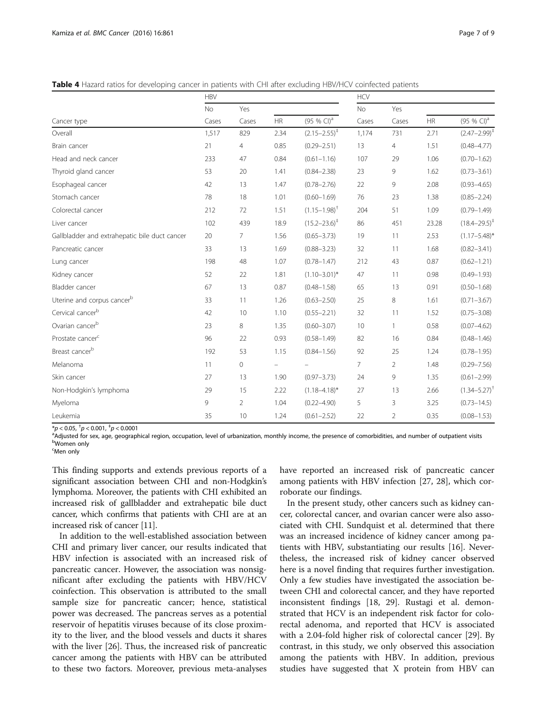<span id="page-6-0"></span>Table 4 Hazard ratios for developing cancer in patients with CHI after excluding HBV/HCV coinfected patients

|                                               | <b>HBV</b> |                     |                          |                            | <b>HCV</b> |                |       |                        |
|-----------------------------------------------|------------|---------------------|--------------------------|----------------------------|------------|----------------|-------|------------------------|
|                                               | <b>No</b>  | Yes                 |                          |                            | <b>No</b>  | Yes            |       |                        |
| Cancer type                                   | Cases      | Cases               | HR                       | (95 % CI) <sup>a</sup>     | Cases      | Cases          | HR    | (95 % CI) <sup>a</sup> |
| Overall                                       | 1,517      | 829                 | 2.34                     | $(2.15 - 2.55)^{+}$        | 1,174      | 731            | 2.71  | $(2.47 - 2.99)^{+}$    |
| Brain cancer                                  | 21         | $\overline{4}$      | 0.85                     | $(0.29 - 2.51)$            | 13         | 4              | 1.51  | $(0.48 - 4.77)$        |
| Head and neck cancer                          | 233        | 47                  | 0.84                     | $(0.61 - 1.16)$            | 107        | 29             | 1.06  | $(0.70 - 1.62)$        |
| Thyroid gland cancer                          | 53         | 20                  | 1.41                     | $(0.84 - 2.38)$            | 23         | 9              | 1.62  | $(0.73 - 3.61)$        |
| Esophageal cancer                             | 42         | 13                  | 1.47                     | $(0.78 - 2.76)$            | 22         | 9              | 2.08  | $(0.93 - 4.65)$        |
| Stomach cancer                                | 78         | 18                  | 1.01                     | $(0.60 - 1.69)$            | 76         | 23             | 1.38  | $(0.85 - 2.24)$        |
| Colorectal cancer                             | 212        | 72                  | 1.51                     | $(1.15 - 1.98)^{+}$        | 204        | 51             | 1.09  | $(0.79 - 1.49)$        |
| Liver cancer                                  | 102        | 439                 | 18.9                     | $(15.2 - 23.6)^{\ddagger}$ | 86         | 451            | 23.28 | $(18.4 - 29.5)^{+}$    |
| Gallbladder and extrahepatic bile duct cancer | 20         | 7                   | 1.56                     | $(0.65 - 3.73)$            | 19         | 11             | 2.53  | $(1.17 - 5.48)^*$      |
| Pancreatic cancer                             | 33         | 13                  | 1.69                     | $(0.88 - 3.23)$            | 32         | 11             | 1.68  | $(0.82 - 3.41)$        |
| Lung cancer                                   | 198        | 48                  | 1.07                     | $(0.78 - 1.47)$            | 212        | 43             | 0.87  | $(0.62 - 1.21)$        |
| Kidney cancer                                 | 52         | 22                  | 1.81                     | $(1.10 - 3.01)^*$          | 47         | 11             | 0.98  | $(0.49 - 1.93)$        |
| Bladder cancer                                | 67         | 13                  | 0.87                     | $(0.48 - 1.58)$            | 65         | 13             | 0.91  | $(0.50 - 1.68)$        |
| Uterine and corpus cancerb                    | 33         | 11                  | 1.26                     | $(0.63 - 2.50)$            | 25         | 8              | 1.61  | $(0.71 - 3.67)$        |
| Cervical cancer <sup>b</sup>                  | 42         | 10                  | 1.10                     | $(0.55 - 2.21)$            | 32         | 11             | 1.52  | $(0.75 - 3.08)$        |
| Ovarian cancer <sup>b</sup>                   | 23         | 8                   | 1.35                     | $(0.60 - 3.07)$            | 10         | $\mathbf{1}$   | 0.58  | $(0.07 - 4.62)$        |
| Prostate cancer <sup>c</sup>                  | 96         | 22                  | 0.93                     | $(0.58 - 1.49)$            | 82         | 16             | 0.84  | $(0.48 - 1.46)$        |
| Breast cancer <sup>b</sup>                    | 192        | 53                  | 1.15                     | $(0.84 - 1.56)$            | 92         | 25             | 1.24  | $(0.78 - 1.95)$        |
| Melanoma                                      | 11         | $\mathsf{O}\xspace$ | $\overline{\phantom{0}}$ |                            | 7          | $\overline{2}$ | 1.48  | $(0.29 - 7.56)$        |
| Skin cancer                                   | 27         | 13                  | 1.90                     | $(0.97 - 3.73)$            | 24         | 9              | 1.35  | $(0.61 - 2.99)$        |
| Non-Hodgkin's lymphoma                        | 29         | 15                  | 2.22                     | $(1.18 - 4.18)^*$          | 27         | 13             | 2.66  | $(1.34 - 5.27)^{T}$    |
| Myeloma                                       | 9          | $\overline{2}$      | 1.04                     | $(0.22 - 4.90)$            | 5          | 3              | 3.25  | $(0.73 - 14.5)$        |
| Leukemia                                      | 35         | 10                  | 1.24                     | $(0.61 - 2.52)$            | 22         | $\overline{2}$ | 0.35  | $(0.08 - 1.53)$        |

\*p < 0.05,  $^{\dagger}p$  < 0.001,  $^{\dagger}p$  < 0.0001

<sup>a</sup>Adjusted for sex, age, geographical region, occupation, level of urbanization, monthly income, the presence of comorbidities, and number of outpatient visits b<sub>Women</sub> only

<sup>c</sup>Men only

This finding supports and extends previous reports of a significant association between CHI and non-Hodgkin's lymphoma. Moreover, the patients with CHI exhibited an increased risk of gallbladder and extrahepatic bile duct cancer, which confirms that patients with CHI are at an increased risk of cancer [\[11](#page-8-0)].

In addition to the well-established association between CHI and primary liver cancer, our results indicated that HBV infection is associated with an increased risk of pancreatic cancer. However, the association was nonsignificant after excluding the patients with HBV/HCV coinfection. This observation is attributed to the small sample size for pancreatic cancer; hence, statistical power was decreased. The pancreas serves as a potential reservoir of hepatitis viruses because of its close proximity to the liver, and the blood vessels and ducts it shares with the liver [[26](#page-8-0)]. Thus, the increased risk of pancreatic cancer among the patients with HBV can be attributed to these two factors. Moreover, previous meta-analyses

have reported an increased risk of pancreatic cancer among patients with HBV infection [[27, 28](#page-8-0)], which corroborate our findings.

In the present study, other cancers such as kidney cancer, colorectal cancer, and ovarian cancer were also associated with CHI. Sundquist et al. determined that there was an increased incidence of kidney cancer among patients with HBV, substantiating our results [[16](#page-8-0)]. Nevertheless, the increased risk of kidney cancer observed here is a novel finding that requires further investigation. Only a few studies have investigated the association between CHI and colorectal cancer, and they have reported inconsistent findings [[18, 29\]](#page-8-0). Rustagi et al. demonstrated that HCV is an independent risk factor for colorectal adenoma, and reported that HCV is associated with a 2.04-fold higher risk of colorectal cancer [[29\]](#page-8-0). By contrast, in this study, we only observed this association among the patients with HBV. In addition, previous studies have suggested that X protein from HBV can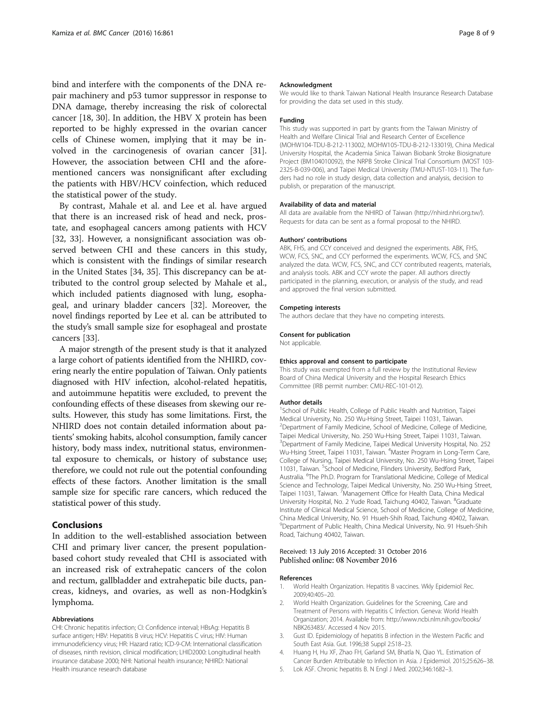<span id="page-7-0"></span>bind and interfere with the components of the DNA repair machinery and p53 tumor suppressor in response to DNA damage, thereby increasing the risk of colorectal cancer [[18](#page-8-0), [30](#page-8-0)]. In addition, the HBV X protein has been reported to be highly expressed in the ovarian cancer cells of Chinese women, implying that it may be involved in the carcinogenesis of ovarian cancer [\[31](#page-8-0)]. However, the association between CHI and the aforementioned cancers was nonsignificant after excluding the patients with HBV/HCV coinfection, which reduced the statistical power of the study.

By contrast, Mahale et al. and Lee et al. have argued that there is an increased risk of head and neck, prostate, and esophageal cancers among patients with HCV [[32, 33\]](#page-8-0). However, a nonsignificant association was observed between CHI and these cancers in this study, which is consistent with the findings of similar research in the United States [[34](#page-8-0), [35](#page-8-0)]. This discrepancy can be attributed to the control group selected by Mahale et al., which included patients diagnosed with lung, esophageal, and urinary bladder cancers [\[32](#page-8-0)]. Moreover, the novel findings reported by Lee et al. can be attributed to the study's small sample size for esophageal and prostate cancers [\[33](#page-8-0)].

A major strength of the present study is that it analyzed a large cohort of patients identified from the NHIRD, covering nearly the entire population of Taiwan. Only patients diagnosed with HIV infection, alcohol-related hepatitis, and autoimmune hepatitis were excluded, to prevent the confounding effects of these diseases from skewing our results. However, this study has some limitations. First, the NHIRD does not contain detailed information about patients' smoking habits, alcohol consumption, family cancer history, body mass index, nutritional status, environmental exposure to chemicals, or history of substance use; therefore, we could not rule out the potential confounding effects of these factors. Another limitation is the small sample size for specific rare cancers, which reduced the statistical power of this study.

#### Conclusions

In addition to the well-established association between CHI and primary liver cancer, the present populationbased cohort study revealed that CHI is associated with an increased risk of extrahepatic cancers of the colon and rectum, gallbladder and extrahepatic bile ducts, pancreas, kidneys, and ovaries, as well as non-Hodgkin's lymphoma.

#### Abbreviations

CHI: Chronic hepatitis infection; CI: Confidence interval; HBsAg: Hepatitis B surface antigen; HBV: Hepatitis B virus; HCV: Hepatitis C virus; HIV: Human immunodeficiency virus; HR: Hazard ratio; ICD-9-CM: International classification of diseases, ninth revision, clinical modification; LHID2000: Longitudinal health insurance database 2000; NHI: National health insurance; NHIRD: National Health insurance research database

#### Acknowledgment

We would like to thank Taiwan National Health Insurance Research Database for providing the data set used in this study.

#### Funding

This study was supported in part by grants from the Taiwan Ministry of Health and Welfare Clinical Trial and Research Center of Excellence (MOHW104-TDU-B-212-113002, MOHW105-TDU-B-212-133019), China Medical University Hospital, the Academia Sinica Taiwan Biobank Stroke Biosignature Project (BM104010092), the NRPB Stroke Clinical Trial Consortium (MOST 103- 2325-B-039-006), and Taipei Medical University (TMU-NTUST-103-11). The funders had no role in study design, data collection and analysis, decision to publish, or preparation of the manuscript.

#### Availability of data and material

All data are available from the NHIRD of Taiwan [\(http://nhird.nhri.org.tw/\)](http://nhird.nhri.org.tw/). Requests for data can be sent as a formal proposal to the NHIRD.

#### Authors' contributions

ABK, FHS, and CCY conceived and designed the experiments. ABK, FHS, WCW, FCS, SNC, and CCY performed the experiments. WCW, FCS, and SNC analyzed the data. WCW, FCS, SNC, and CCY contributed reagents, materials, and analysis tools. ABK and CCY wrote the paper. All authors directly participated in the planning, execution, or analysis of the study, and read and approved the final version submitted.

#### Competing interests

The authors declare that they have no competing interests.

#### Consent for publication

Not applicable.

#### Ethics approval and consent to participate

This study was exempted from a full review by the Institutional Review Board of China Medical University and the Hospital Research Ethics Committee (IRB permit number: CMU-REC-101-012).

#### Author details

<sup>1</sup>School of Public Health, College of Public Health and Nutrition, Taipei Medical University, No. 250 Wu-Hsing Street, Taipei 11031, Taiwan. 2 Department of Family Medicine, School of Medicine, College of Medicine, Taipei Medical University, No. 250 Wu-Hsing Street, Taipei 11031, Taiwan. <sup>3</sup>Department of Family Medicine, Taipei Medical University Hospital, No. 252 Wu-Hsing Street, Taipei 11031, Taiwan. <sup>4</sup>Master Program in Long-Term Care, College of Nursing, Taipei Medical University, No. 250 Wu-Hsing Street, Taipei 11031, Taiwan. <sup>5</sup>School of Medicine, Flinders University, Bedford Park Australia. <sup>6</sup>The Ph.D. Program for Translational Medicine, College of Medical Science and Technology, Taipei Medical University, No. 250 Wu-Hsing Street, Taipei 11031, Taiwan. <sup>7</sup>Management Office for Health Data, China Medical University Hospital, No. 2 Yude Road, Taichung 40402, Taiwan. <sup>8</sup>Graduate Institute of Clinical Medical Science, School of Medicine, College of Medicine, China Medical University, No. 91 Hsueh-Shih Road, Taichung 40402, Taiwan. 9 Department of Public Health, China Medical University, No. 91 Hsueh-Shih Road, Taichung 40402, Taiwan.

# Received: 13 July 2016 Accepted: 31 October 2016<br>Published online: 08 November 2016

#### References

- 1. World Health Organization. Hepatitis B vaccines. Wkly Epidemiol Rec. 2009;40:405–20.
- 2. World Health Organization. Guidelines for the Screening, Care and Treatment of Persons with Hepatitis C Infection. Geneva: World Health Organization; 2014. Available from: [http://www.ncbi.nlm.nih.gov/books/](http://www.ncbi.nlm.nih.gov/books/NBK263483/) [NBK263483/](http://www.ncbi.nlm.nih.gov/books/NBK263483/). Accessed 4 Nov 2015.
- 3. Gust ID. Epidemiology of hepatitis B infection in the Western Pacific and South East Asia. Gut. 1996;38 Suppl 2:S18–23.
- 4. Huang H, Hu XF, Zhao FH, Garland SM, Bhatla N, Qiao YL. Estimation of Cancer Burden Attributable to Infection in Asia. J Epidemiol. 2015;25:626–38.
- 5. Lok ASF. Chronic hepatitis B. N Engl J Med. 2002;346:1682–3.